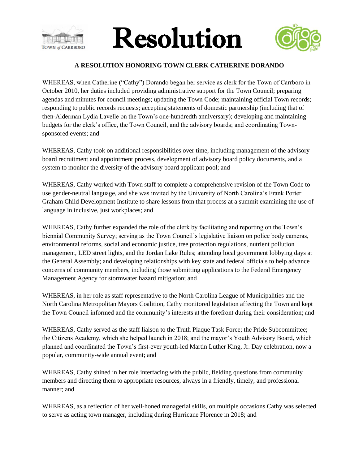





## **A RESOLUTION HONORING TOWN CLERK CATHERINE DORANDO**

WHEREAS, when Catherine ("Cathy") Dorando began her service as clerk for the Town of Carrboro in October 2010, her duties included providing administrative support for the Town Council; preparing agendas and minutes for council meetings; updating the Town Code; maintaining official Town records; responding to public records requests; accepting statements of domestic partnership (including that of then-Alderman Lydia Lavelle on the Town's one-hundredth anniversary); developing and maintaining budgets for the clerk's office, the Town Council, and the advisory boards; and coordinating Townsponsored events; and

WHEREAS, Cathy took on additional responsibilities over time, including management of the advisory board recruitment and appointment process, development of advisory board policy documents, and a system to monitor the diversity of the advisory board applicant pool; and

WHEREAS, Cathy worked with Town staff to complete a comprehensive revision of the Town Code to use gender-neutral language, and she was invited by the University of North Carolina's Frank Porter Graham Child Development Institute to share lessons from that process at a summit examining the use of language in inclusive, just workplaces; and

WHEREAS, Cathy further expanded the role of the clerk by facilitating and reporting on the Town's biennial Community Survey; serving as the Town Council's legislative liaison on police body cameras, environmental reforms, social and economic justice, tree protection regulations, nutrient pollution management, LED street lights, and the Jordan Lake Rules; attending local government lobbying days at the General Assembly; and developing relationships with key state and federal officials to help advance concerns of community members, including those submitting applications to the Federal Emergency Management Agency for stormwater hazard mitigation; and

WHEREAS, in her role as staff representative to the North Carolina League of Municipalities and the North Carolina Metropolitan Mayors Coalition, Cathy monitored legislation affecting the Town and kept the Town Council informed and the community's interests at the forefront during their consideration; and

WHEREAS, Cathy served as the staff liaison to the Truth Plaque Task Force; the Pride Subcommittee; the Citizens Academy, which she helped launch in 2018; and the mayor's Youth Advisory Board, which planned and coordinated the Town's first-ever youth-led Martin Luther King, Jr. Day celebration, now a popular, community-wide annual event; and

WHEREAS, Cathy shined in her role interfacing with the public, fielding questions from community members and directing them to appropriate resources, always in a friendly, timely, and professional manner; and

WHEREAS, as a reflection of her well-honed managerial skills, on multiple occasions Cathy was selected to serve as acting town manager, including during Hurricane Florence in 2018; and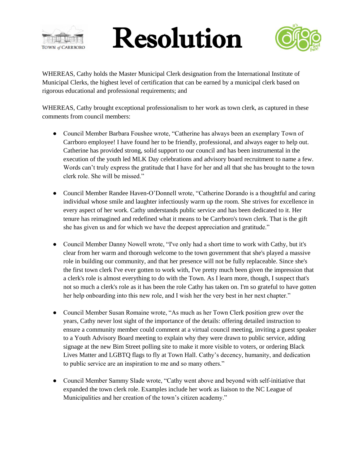

## Resolution



WHEREAS, Cathy holds the Master Municipal Clerk designation from the International Institute of Municipal Clerks, the highest level of certification that can be earned by a municipal clerk based on rigorous educational and professional requirements; and

WHEREAS, Cathy brought exceptional professionalism to her work as town clerk, as captured in these comments from council members:

- Council Member Barbara Foushee wrote, "Catherine has always been an exemplary Town of Carrboro employee! I have found her to be friendly, professional, and always eager to help out. Catherine has provided strong, solid support to our council and has been instrumental in the execution of the youth led MLK Day celebrations and advisory board recruitment to name a few. Words can't truly express the gratitude that I have for her and all that she has brought to the town clerk role. She will be missed."
- Council Member Randee Haven-O'Donnell wrote, "Catherine Dorando is a thoughtful and caring individual whose smile and laughter infectiously warm up the room. She strives for excellence in every aspect of her work. Cathy understands public service and has been dedicated to it. Her tenure has reimagined and redefined what it means to be Carrboro's town clerk. That is the gift she has given us and for which we have the deepest appreciation and gratitude."
- Council Member Danny Nowell wrote, "I've only had a short time to work with Cathy, but it's clear from her warm and thorough welcome to the town government that she's played a massive role in building our community, and that her presence will not be fully replaceable. Since she's the first town clerk I've ever gotten to work with, I've pretty much been given the impression that a clerk's role is almost everything to do with the Town. As I learn more, though, I suspect that's not so much a clerk's role as it has been the role Cathy has taken on. I'm so grateful to have gotten her help onboarding into this new role, and I wish her the very best in her next chapter."
- Council Member Susan Romaine wrote, "As much as her Town Clerk position grew over the years, Cathy never lost sight of the importance of the details: offering detailed instruction to ensure a community member could comment at a virtual council meeting, inviting a guest speaker to a Youth Advisory Board meeting to explain why they were drawn to public service, adding signage at the new Bim Street polling site to make it more visible to voters, or ordering Black Lives Matter and LGBTQ flags to fly at Town Hall. Cathy's decency, humanity, and dedication to public service are an inspiration to me and so many others."
- Council Member Sammy Slade wrote, "Cathy went above and beyond with self-initiative that expanded the town clerk role. Examples include her work as liaison to the NC League of Municipalities and her creation of the town's citizen academy."